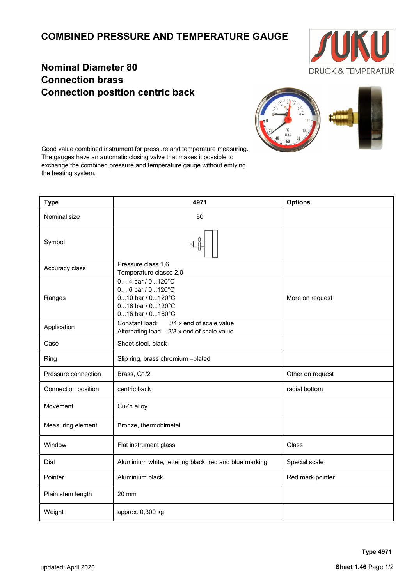## **COMBINED PRESSURE AND TEMPERATURE GAUGE**



## **Nominal Diameter 80 Connection brass Connection position centric back**



Good value combined instrument for pressure and temperature measuring. The gauges have an automatic closing valve that makes it possible to exchange the combined pressure and temperature gauge without emtying the heating system.

| <b>Type</b>         | 4971                                                                                                            | <b>Options</b>   |
|---------------------|-----------------------------------------------------------------------------------------------------------------|------------------|
| Nominal size        | 80                                                                                                              |                  |
| Symbol              |                                                                                                                 |                  |
| Accuracy class      | Pressure class 1,6<br>Temperature classe 2,0                                                                    |                  |
| Ranges              | $0 4$ bar / $0120$ °C<br>$0 6$ bar / $0120$ °C<br>010 bar / 0120°C<br>016 bar / 0120°C<br>$016$ bar / $0160$ °C | More on request  |
| Application         | Constant load:<br>3/4 x end of scale value<br>Alternating load: 2/3 x end of scale value                        |                  |
| Case                | Sheet steel, black                                                                                              |                  |
| Ring                | Slip ring, brass chromium -plated                                                                               |                  |
| Pressure connection | Brass, G1/2                                                                                                     | Other on request |
| Connection position | centric back                                                                                                    | radial bottom    |
| Movement            | CuZn alloy                                                                                                      |                  |
| Measuring element   | Bronze, thermobimetal                                                                                           |                  |
| Window              | Flat instrument glass                                                                                           | Glass            |
| Dial                | Aluminium white, lettering black, red and blue marking                                                          | Special scale    |
| Pointer             | Aluminium black                                                                                                 | Red mark pointer |
| Plain stem length   | $20 \text{ mm}$                                                                                                 |                  |
| Weight              | approx. 0,300 kg                                                                                                |                  |